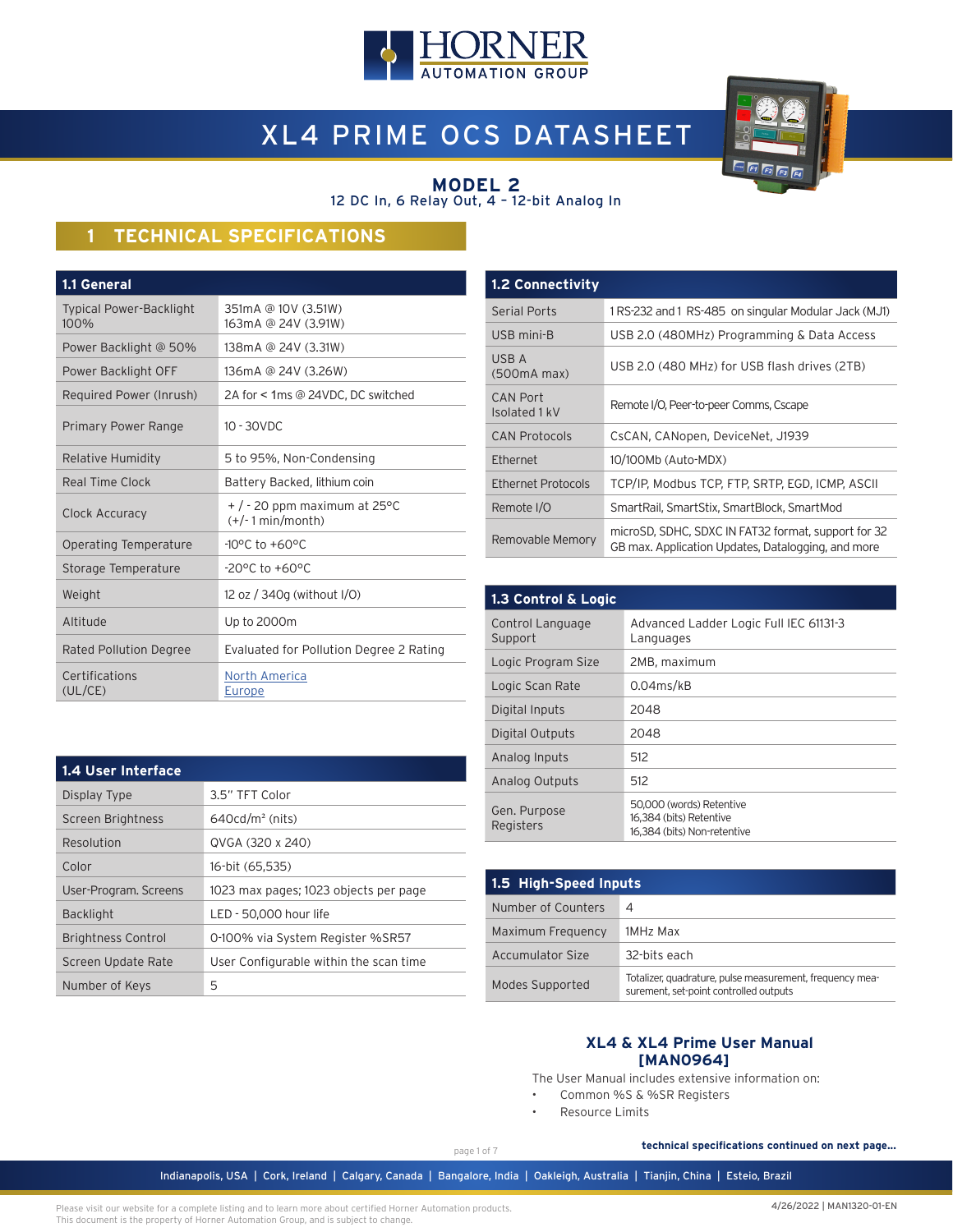

# XL4 PRIME OCS DATASHEET



#### **MODEL 2** 12 DC In, 6 Relay Out, 4 – 12-bit Analog In

# **1 TECHNICAL SPECIFICATIONS**

| 1.1 General                            |                                                        |
|----------------------------------------|--------------------------------------------------------|
| <b>Typical Power-Backlight</b><br>100% | 351mA @ 10V (3.51W)<br>163mA @ 24V (3.91W)             |
| Power Backlight @ 50%                  | 138mA @ 24V (3.31W)                                    |
| Power Backlight OFF                    | 136mA @ 24V (3.26W)                                    |
| Required Power (Inrush)                | 2A for < 1ms @ 24VDC, DC switched                      |
| Primary Power Range                    | $10 - 30$ VDC                                          |
| <b>Relative Humidity</b>               | 5 to 95%, Non-Condensing                               |
| Real Time Clock                        | Battery Backed, lithium coin                           |
| Clock Accuracy                         | $+$ / - 20 ppm maximum at 25 °C<br>$(+/- 1 min/month)$ |
| Operating Temperature                  | $-10^{\circ}$ C to $+60^{\circ}$ C                     |
| Storage Temperature                    | $-20^{\circ}$ C to $+60^{\circ}$ C                     |
| Weight                                 | 12 oz / 340g (without I/O)                             |
| Altitude                               | Up to 2000m                                            |
| Rated Pollution Degree                 | Evaluated for Pollution Degree 2 Rating                |
| Certifications<br>(UL/CE)              | <b>North America</b><br>Europe                         |

| <b>1.2 Connectivity</b>   |                                                                                                           |
|---------------------------|-----------------------------------------------------------------------------------------------------------|
| Serial Ports              | 1RS-232 and 1 RS-485 on singular Modular Jack (MJ1)                                                       |
| USB mini-B                | USB 2.0 (480MHz) Programming & Data Access                                                                |
| USB A<br>(500mA max)      | USB 2.0 (480 MHz) for USB flash drives (2TB)                                                              |
| CAN Port<br>Isolated 1 kV | Remote I/O, Peer-to-peer Comms, Cscape                                                                    |
| <b>CAN Protocols</b>      | CsCAN, CANopen, DeviceNet, J1939                                                                          |
| Ethernet                  | 10/100Mb (Auto-MDX)                                                                                       |
| Ethernet Protocols        | TCP/IP, Modbus TCP, FTP, SRTP, EGD, ICMP, ASCII                                                           |
| Remote I/O                | SmartRail, SmartStix, SmartBlock, SmartMod                                                                |
| Removable Memory          | microSD, SDHC, SDXC IN FAT32 format, support for 32<br>GB max. Application Updates, Datalogging, and more |

| 1.3 Control & Logic         |                                                                                    |  |  |
|-----------------------------|------------------------------------------------------------------------------------|--|--|
| Control Language<br>Support | Advanced Ladder Logic Full IEC 61131-3<br>Languages                                |  |  |
| Logic Program Size          | 2MB, maximum                                                                       |  |  |
| Logic Scan Rate             | $0.04$ ms/kB                                                                       |  |  |
| Digital Inputs              | 2048                                                                               |  |  |
| Digital Outputs             | 2048                                                                               |  |  |
| Analog Inputs               | 512                                                                                |  |  |
| Analog Outputs              | 512                                                                                |  |  |
| Gen. Purpose<br>Registers   | 50,000 (words) Retentive<br>16.384 (bits) Retentive<br>16.384 (bits) Non-retentive |  |  |

| 1.5 High-Speed Inputs |                                                                                                    |  |  |
|-----------------------|----------------------------------------------------------------------------------------------------|--|--|
| Number of Counters    | 4                                                                                                  |  |  |
| Maximum Frequency     | 1MHz Max                                                                                           |  |  |
| Accumulator Size      | 32-bits each                                                                                       |  |  |
| Modes Supported       | Totalizer, quadrature, pulse measurement, frequency mea-<br>surement, set-point controlled outputs |  |  |

#### **XL4 & XL4 Prime User Manual [MAN0964]**

The User Manual includes extensive information on:

- Common %S & %SR Registers
- Resource Limits

Indianapolis, USA | Cork, Ireland | Calgary, Canada | Bangalore, India | Oakleigh, Australia | Tianjin, China | Esteio, Brazil

page 1 of 7

**technical specifications continued on next page...**

| 1.4 User Interface        |                                        |
|---------------------------|----------------------------------------|
| Display Type              | 3.5" TFT Color                         |
| Screen Brightness         | $640cd/m2$ (nits)                      |
| Resolution                | QVGA (320 x 240)                       |
| Color                     | 16-bit (65,535)                        |
| User-Program. Screens     | 1023 max pages; 1023 objects per page  |
| <b>Backlight</b>          | LED - 50,000 hour life                 |
| <b>Brightness Control</b> | 0-100% via System Register %SR57       |
| Screen Update Rate        | User Configurable within the scan time |
| Number of Keys            | 5                                      |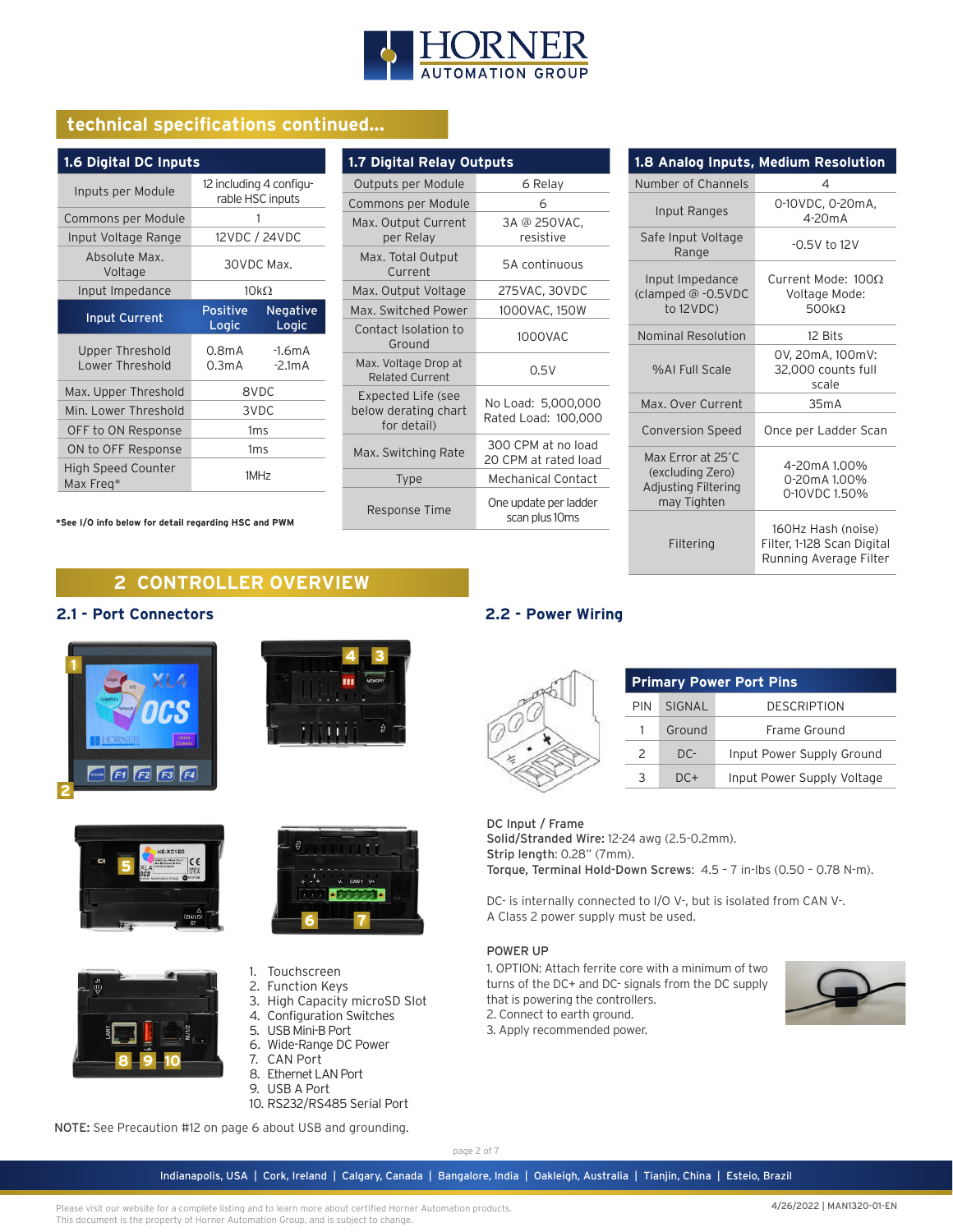

# **technical specifications continued...**

| 1.6 Digital DC Inputs                                      |                                             |                      |  |  |
|------------------------------------------------------------|---------------------------------------------|----------------------|--|--|
| Inputs per Module                                          | 12 including 4 configu-<br>rable HSC inputs |                      |  |  |
| Commons per Module                                         |                                             | 1                    |  |  |
| Input Voltage Range                                        |                                             | 12VDC / 24VDC        |  |  |
| Absolute Max.<br>Voltage                                   | 30VDC Max.                                  |                      |  |  |
| Input Impedance                                            |                                             | $10k\Omega$          |  |  |
| <b>Input Current</b>                                       | Positive<br>Logic                           | Negative<br>Logic    |  |  |
| Upper Threshold<br>Lower Threshold                         | 0.8 <sub>m</sub> A<br>0.3 <sub>m</sub> A    | $-1.6mA$<br>$-2.1mA$ |  |  |
| Max. Upper Threshold                                       | 8VDC                                        |                      |  |  |
| Min. Lower Threshold                                       | 3VDC                                        |                      |  |  |
| OFF to ON Response                                         | 1 <sub>ms</sub>                             |                      |  |  |
| ON to OFF Response                                         | 1ms                                         |                      |  |  |
| <b>High Speed Counter</b><br>1MH <sub>7</sub><br>Max Freq* |                                             |                      |  |  |

**\*See I/O info below for detail regarding HSC and PWM**

| 1.7 Digital Relay Outputs                                 |                                            |  |  |  |
|-----------------------------------------------------------|--------------------------------------------|--|--|--|
| Outputs per Module                                        | 6 Relay                                    |  |  |  |
| Commons per Module                                        | 6                                          |  |  |  |
| Max. Output Current<br>per Relay                          | 3A @ 250VAC,<br>resistive                  |  |  |  |
| Max. Total Output<br>Current                              | 5A continuous                              |  |  |  |
| Max. Output Voltage                                       | 275VAC, 30VDC                              |  |  |  |
| Max. Switched Power                                       | 1000VAC, 150W                              |  |  |  |
| Contact Isolation to<br>Ground                            | 1000VAC                                    |  |  |  |
| Max. Voltage Drop at<br><b>Related Current</b>            | 0.5V                                       |  |  |  |
| Expected Life (see<br>below derating chart<br>for detail) | No Load: 5,000,000<br>Rated Load: 100,000  |  |  |  |
| Max. Switching Rate                                       | 300 CPM at no load<br>20 CPM at rated load |  |  |  |
| <b>Type</b>                                               | Mechanical Contact                         |  |  |  |
| Response Time                                             | One update per ladder<br>scan plus 10ms    |  |  |  |

| 1.8 Analog Inputs, Medium Resolution                                        |                                                                            |  |  |  |
|-----------------------------------------------------------------------------|----------------------------------------------------------------------------|--|--|--|
| Number of Channels                                                          | 4                                                                          |  |  |  |
| Input Ranges                                                                | 0-10VDC, 0-20mA,<br>$4-20mA$                                               |  |  |  |
| Safe Input Voltage<br>Range                                                 | $-0.5V$ to 12V                                                             |  |  |  |
| Input Impedance<br>(clamped @ -0.5VDC<br>to 12VDC)                          | Current Mode: $100\Omega$<br>Voltage Mode:<br>$500k\Omega$                 |  |  |  |
| <b>Nominal Resolution</b>                                                   | 12 Bits                                                                    |  |  |  |
| %ALFull Scale                                                               | 0V, 20mA, 100mV:<br>32,000 counts full<br>scale                            |  |  |  |
| Max. Over Current                                                           | 35m A                                                                      |  |  |  |
| <b>Conversion Speed</b>                                                     | Once per Ladder Scan                                                       |  |  |  |
| Max Error at 25°C<br>(excluding Zero)<br>Adjusting Filtering<br>may Tighten | 4-20mA 1.00%<br>0-20mA 1.00%<br>0-10VDC 1.50%                              |  |  |  |
| Filtering                                                                   | 160Hz Hash (noise)<br>Filter, 1-128 Scan Digital<br>Running Average Filter |  |  |  |

# **2 CONTROLLER OVERVIEW**

#### **2.1 - Port Connectors**











- 1. Touchscreen
- 2. Function Keys
- 3. High Capacity microSD Slot
- 4. Configuration Switches
- 5. USB Mini-B Port
- 6. Wide-Range DC Power
- 7. CAN Port
- 8. Ethernet LAN Port
- 9. USB A Port
- 10. RS232/RS485 Serial Port

NOTE: See Precaution #12 on page 6 about USB and grounding.

page 2 of 7

Indianapolis, USA | Cork, Ireland | Calgary, Canada | Bangalore, India | Oakleigh, Australia | Tianjin, China | Esteio, Brazil

Please visit our website for a complete listing and to learn more about certified Horner Automation products. This document is the property of Horner Automation Group, and is subject to change.

# **2.2 - Power Wiring**

| <b>Primary Power Port Pins</b> |        |                            |  |
|--------------------------------|--------|----------------------------|--|
| PIN                            | SIGNAL | <b>DESCRIPTION</b>         |  |
|                                | Ground | Frame Ground               |  |
| 2                              | $DC-$  | Input Power Supply Ground  |  |
|                                | $DC+$  | Input Power Supply Voltage |  |

#### DC Input / Frame

Solid/Stranded Wire: 12-24 awg (2.5-0.2mm). Strip length: 0.28" (7mm). Torque, Terminal Hold-Down Screws: 4.5 – 7 in-lbs (0.50 – 0.78 N-m).

DC- is internally connected to I/O V-, but is isolated from CAN V-. A Class 2 power supply must be used.

#### POWER UP

1. OPTION: Attach ferrite core with a minimum of two turns of the DC+ and DC- signals from the DC supply that is powering the controllers. 2. Connect to earth ground. 3. Apply recommended power.

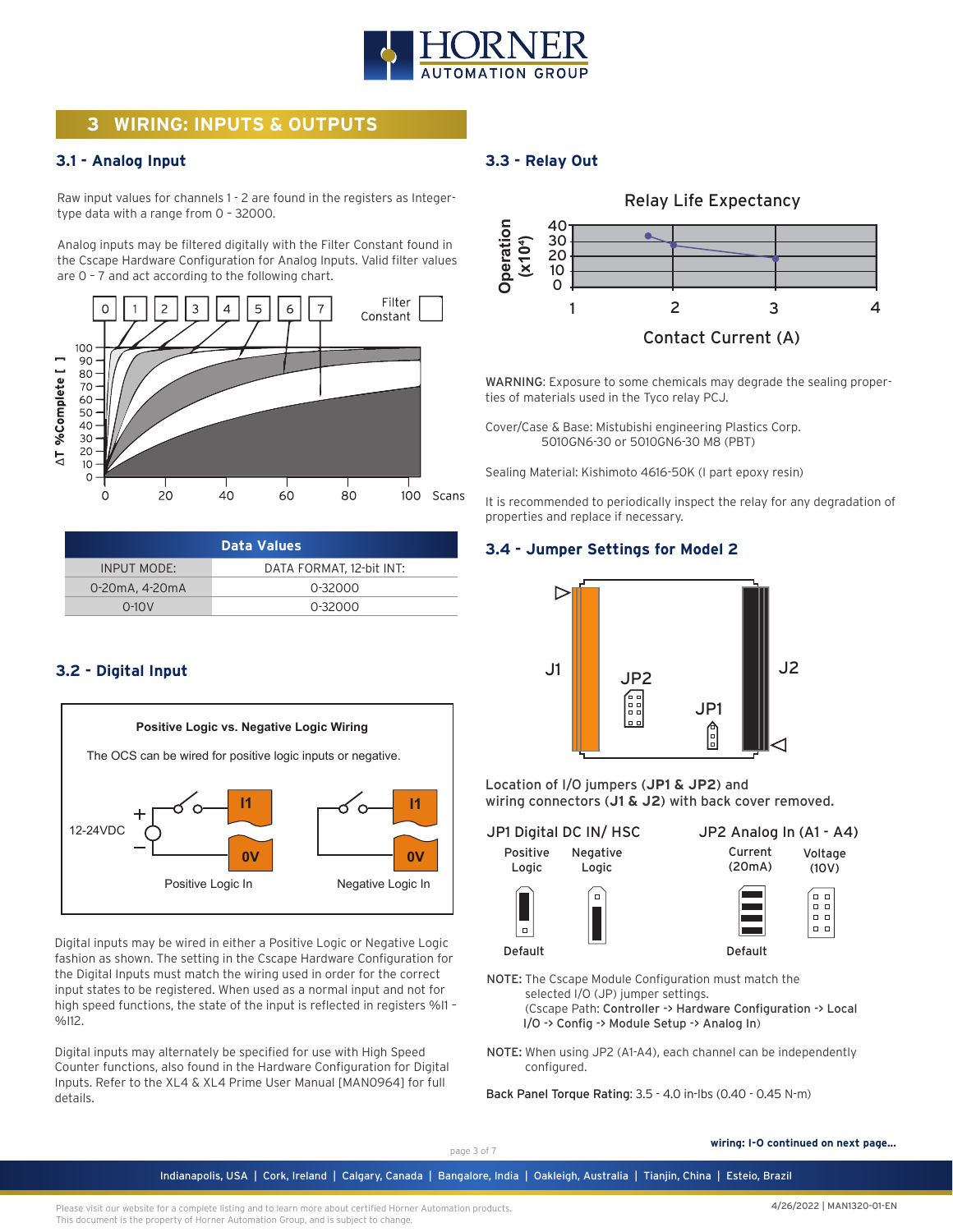

# **3 WIRING: INPUTS & OUTPUTS**

#### **3.1 - Analog Input**

Raw input values for channels 1 - 2 are found in the registers as Integertype data with a range from 0 – 32000.

Analog inputs may be filtered digitally with the Filter Constant found in the Cscape Hardware Configuration for Analog Inputs. Valid filter values are 0 – 7 and act according to the following chart.



| Data Values        |                          |  |
|--------------------|--------------------------|--|
| <b>INPUT MODE:</b> | DATA FORMAT, 12-bit INT: |  |
| 0-20mA, 4-20mA     | 0-32000                  |  |
| $0-10V$            | 0-32000                  |  |

#### **3.2 - Digital Input**



Digital inputs may be wired in either a Positive Logic or Negative Logic fashion as shown. The setting in the Cscape Hardware Configuration for the Digital Inputs must match the wiring used in order for the correct input states to be registered. When used as a normal input and not for high speed functions, the state of the input is reflected in registers %I1 – %I12.

Digital inputs may alternately be specified for use with High Speed Counter functions, also found in the Hardware Configuration for Digital Inputs. Refer to the XL4 & XL4 Prime User Manual [MAN0964] for full details.

### **3.3 - Relay Out**



WARNING: Exposure to some chemicals may degrade the sealing properties of materials used in the Tyco relay PCJ.

Cover/Case & Base: Mistubishi engineering Plastics Corp. 5010GN6-30 or 5010GN6-30 M8 (PBT)

Sealing Material: Kishimoto 4616-50K (I part epoxy resin)

It is recommended to periodically inspect the relay for any degradation of properties and replace if necessary.

#### **3.4 - Jumper Settings for Model 2**



Location of I/O jumpers (**JP1 & JP2**) and wiring connectors (**J1 & J2**) with back cover removed.

JP1 Digital DC IN/ HSC

Positive Logic Negative Logic





Default

 $\begin{array}{c} - \\ 0 \\ \end{array}$ Default

- NOTE: The Cscape Module Configuration must match the selected I/O (JP) jumper settings. (Cscape Path: Controller -> Hardware Configuration -> Local I/O -> Config -> Module Setup -> Analog In)
- NOTE: When using JP2 (A1-A4), each channel can be independently configured.

Back Panel Torque Rating: 3.5 - 4.0 in-lbs (0.40 - 0.45 N-m)

**wiring: I-O continued on next page...**

Indianapolis, USA | Cork, Ireland | Calgary, Canada | Bangalore, India | Oakleigh, Australia | Tianjin, China | Esteio, Brazil

page 3 of 7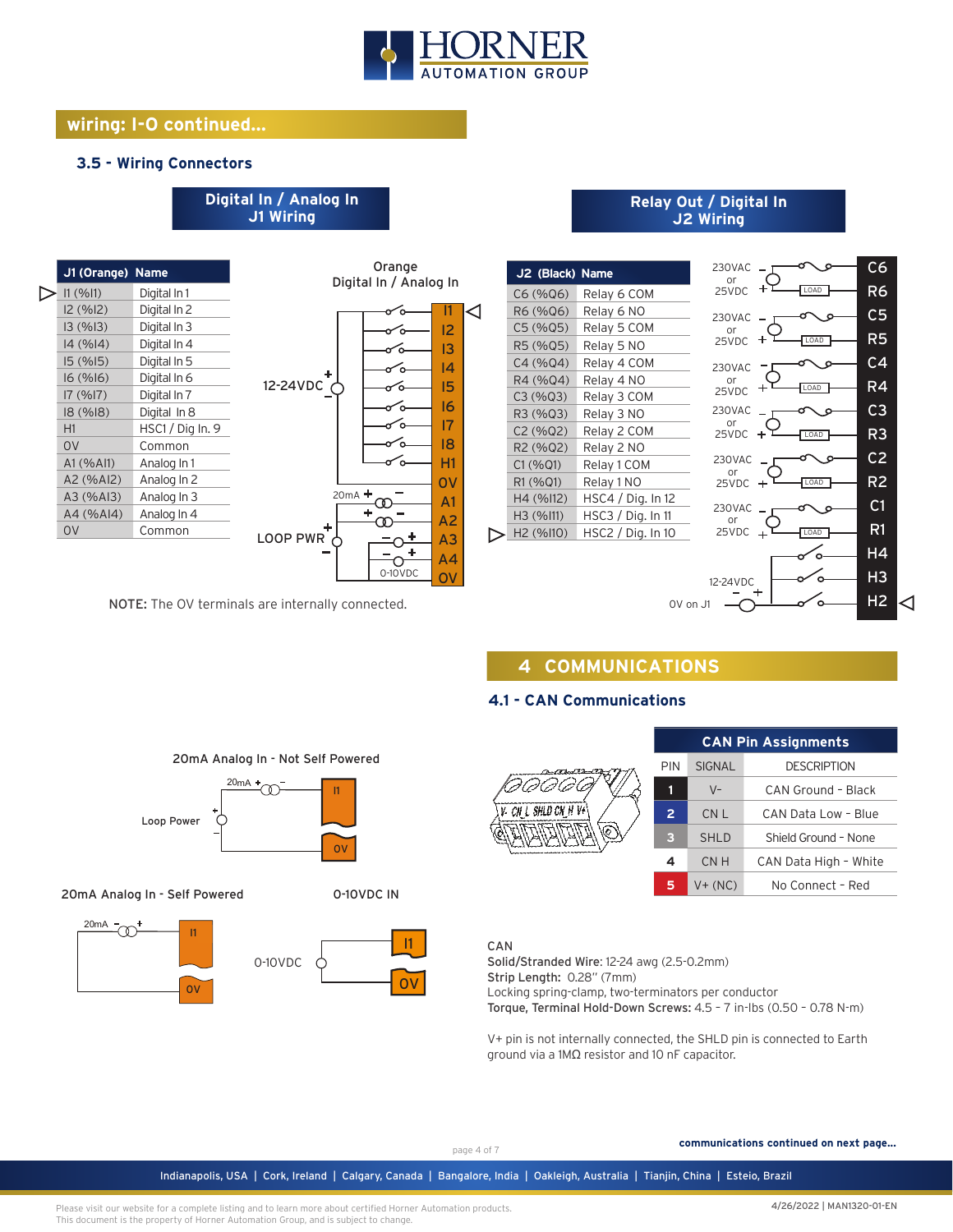

I1 I2 I3 I4 I5 I6 I7 I8 H1 0V A1 A2 A3 A4 OV

Orange Digital In / Analog In

6

ъ ᡤ

∘ o ัก ъ

0-10VDC

 $\infty$ 4 ಌ Ω  $\ddot{}$ Ó

20mA

Ç

# **wiring: I-O continued...**

#### **3.5 - Wiring Connectors**

# **Digital In / Analog In J1 Wiring**

| 11 (%11)       | Digital In 1     |                  |
|----------------|------------------|------------------|
| I2 (%I2)       | Digital In 2     |                  |
| 13(%13)        | Digital In 3     |                  |
| 14 (%14)       | Digital In 4     |                  |
| 15(%15)        | Digital In 5     |                  |
| 16(%16)        | Digital In 6     |                  |
| 17(%17)        | Digital In 7     | 12-24VDC         |
| 18 (%18)       | Digital In 8     |                  |
| H1             | HSC1 / Dig In. 9 |                  |
| 0 <sup>V</sup> | Common           |                  |
| A1 (% A11)     | Analog In 1      |                  |
| A2 (%AI2)      | Analog In 2      |                  |
| A3 (%AI3)      | Analog In 3      |                  |
| A4 (%AI4)      | Analog In 4      |                  |
| 0 <sup>V</sup> | Common           | <b>LOOP PWF</b>  |
|                |                  |                  |
|                |                  | J1 (Orange) Name |

NOTE: The OV terminals are internally connected.

20mA

Loop Power

I1

 $\alpha$ 

20mA Analog In - Self Powered

20mA

 $\sim$ 

20mA Analog In - Not Self Powered

ന

0-10VDC

I1

 $\Omega$ 

0-10VDC IN

0V

I1

#### **Relay Out / Digital In J2 Wiring**



# **4 COMMUNICATIONS**

### **4.1 - CAN Communications**



Solid/Stranded Wire: 12-24 awg (2.5-0.2mm)

Strip Length: 0.28" (7mm)

Locking spring-clamp, two-terminators per conductor

Torque, Terminal Hold-Down Screws: 4.5 – 7 in-lbs (0.50 – 0.78 N-m)

V+ pin is not internally connected, the SHLD pin is connected to Earth ground via a 1MΩ resistor and 10 nF capacitor.

#### CAN

#### page 4 of 7

**communications continued on next page...**

Indianapolis, USA | Cork, Ireland | Calgary, Canada | Bangalore, India | Oakleigh, Australia | Tianjin, China | Esteio, Brazil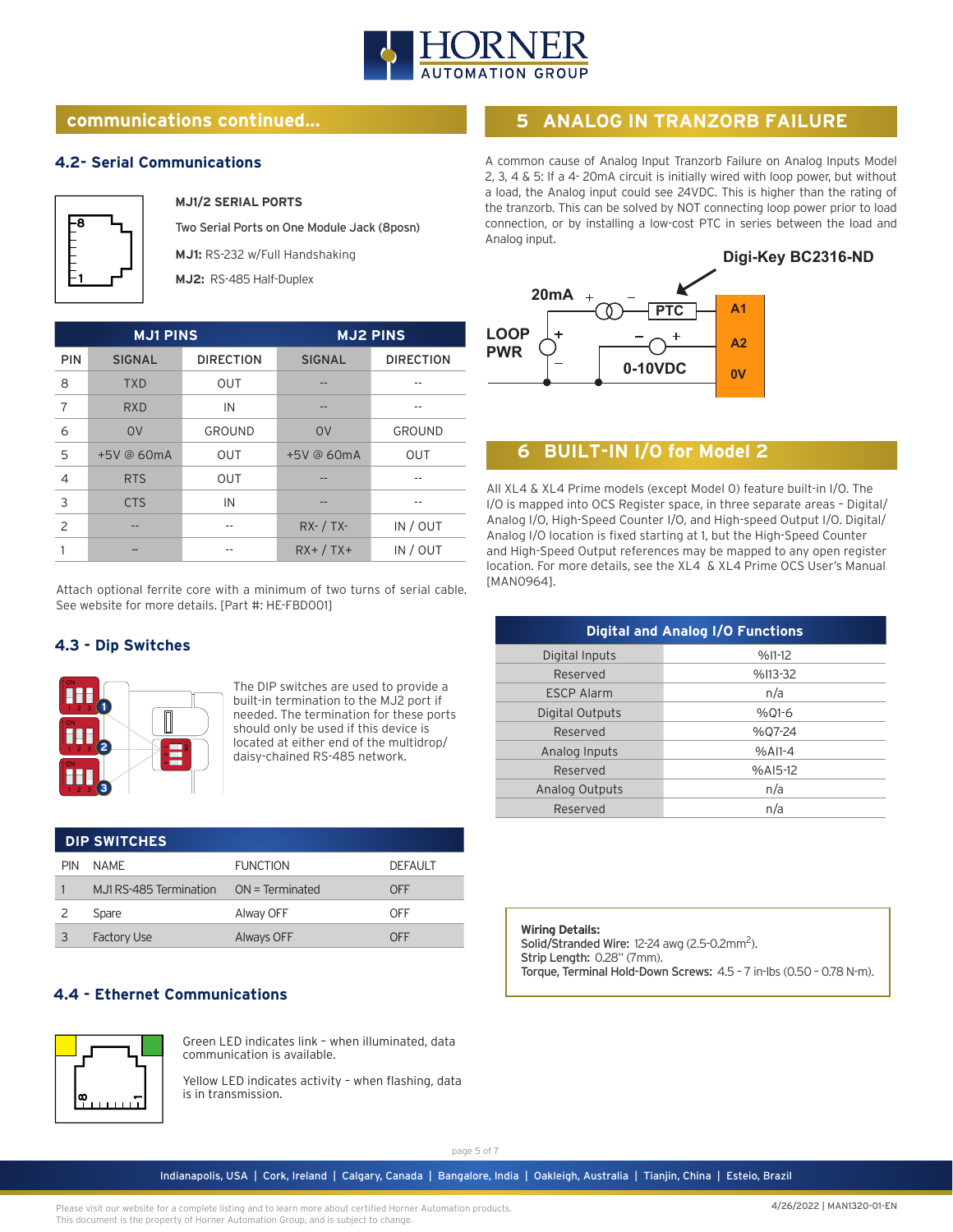

# **communications continued...**

#### **4.2- Serial Communications**



**MJ1/2 SERIAL PORTS**

Two Serial Ports on One Module Jack (8posn)

**MJ1:** RS-232 w/Full Handshaking

**MJ2:** RS-485 Half-Duplex

| <b>MJ1 PINS</b> |                | <b>MJ2 PINS</b>  |                |                  |
|-----------------|----------------|------------------|----------------|------------------|
| <b>PIN</b>      | <b>SIGNAL</b>  | <b>DIRECTION</b> | <b>SIGNAL</b>  | <b>DIRECTION</b> |
| 8               | <b>TXD</b>     | <b>OUT</b>       |                |                  |
| 7               | <b>RXD</b>     | IN               | --             | --               |
| 6               | O <sub>V</sub> | GROUND           | O <sub>V</sub> | <b>GROUND</b>    |
| 5               | +5V @ 60mA     | <b>OUT</b>       | +5V @ 60mA     | <b>OUT</b>       |
| 4               | <b>RTS</b>     | OUT              |                |                  |
| 3               | <b>CTS</b>     | IN               |                |                  |
| 2               |                |                  | $RX - / TX -$  | IN / OUT         |
|                 |                | --               | $RX+ / TX+$    | IN / OUT         |

Attach optional ferrite core with a minimum of two turns of serial cable. See website for more details. [Part #: HE-FBD001]

### **4.3 - Dip Switches**



The DIP switches are used to provide a built-in termination to the MJ2 port if needed. The termination for these ports should only be used if this device is located at either end of the multidrop/ daisy-chained RS-485 network.

| <b>DIP SWITCHES</b> |                         |                   |                |  |
|---------------------|-------------------------|-------------------|----------------|--|
| <b>PIN</b>          | NAMF                    | <b>FUNCTION</b>   | <b>DEFAULT</b> |  |
|                     | M.J1 RS-485 Termination | $ON = Terminated$ | OFF            |  |
|                     | Spare                   | Alway OFF         | OFF            |  |
|                     | <b>Factory Use</b>      | Always OFF        | NFF            |  |

### **4.4 - Ethernet Communications**



Green LED indicates link – when illuminated, data communication is available.

Yellow LED indicates activity – when flashing, data is in transmission.

# **5 ANALOG IN TRANZORB FAILURE**

A common cause of Analog Input Tranzorb Failure on Analog Inputs Model 2, 3, 4 & 5: If a 4- 20mA circuit is initially wired with loop power, but without a load, the Analog input could see 24VDC. This is higher than the rating of the tranzorb. This can be solved by NOT connecting loop power prior to load connection, or by installing a low-cost PTC in series between the load and Analog input.



# **6 BUILT-IN I/O for Model 2**

All XL4 & XL4 Prime models (except Model 0) feature built-in I/O. The I/O is mapped into OCS Register space, in three separate areas – Digital/ Analog I/O, High-Speed Counter I/O, and High-speed Output I/O. Digital/ Analog I/O location is fixed starting at 1, but the High-Speed Counter and High-Speed Output references may be mapped to any open register location. For more details, see the XL4 & XL4 Prime OCS User's Manual [MAN0964].

| <b>Digital and Analog I/O Functions</b> |            |  |  |
|-----------------------------------------|------------|--|--|
| Digital Inputs                          | $%11-12$   |  |  |
| Reserved                                | %I13-32    |  |  |
| <b>ESCP Alarm</b>                       | n/a        |  |  |
| Digital Outputs                         | %01-6      |  |  |
| Reserved                                | %07-24     |  |  |
| Analog Inputs                           | $%A11-4$   |  |  |
| Reserved                                | $%$ AI5-12 |  |  |
| <b>Analog Outputs</b>                   | n/a        |  |  |
| Reserved                                | n/a        |  |  |

**Wiring Details:** Solid/Stranded Wire: 12-24 awg (2.5-0.2mm<sup>2</sup>). Strip Length: 0.28" (7mm). Torque, Terminal Hold-Down Screws: 4.5 – 7 in-lbs (0.50 – 0.78 N-m).

page 5 of 7

Indianapolis, USA | Cork, Ireland | Calgary, Canada | Bangalore, India | Oakleigh, Australia | Tianjin, China | Esteio, Brazil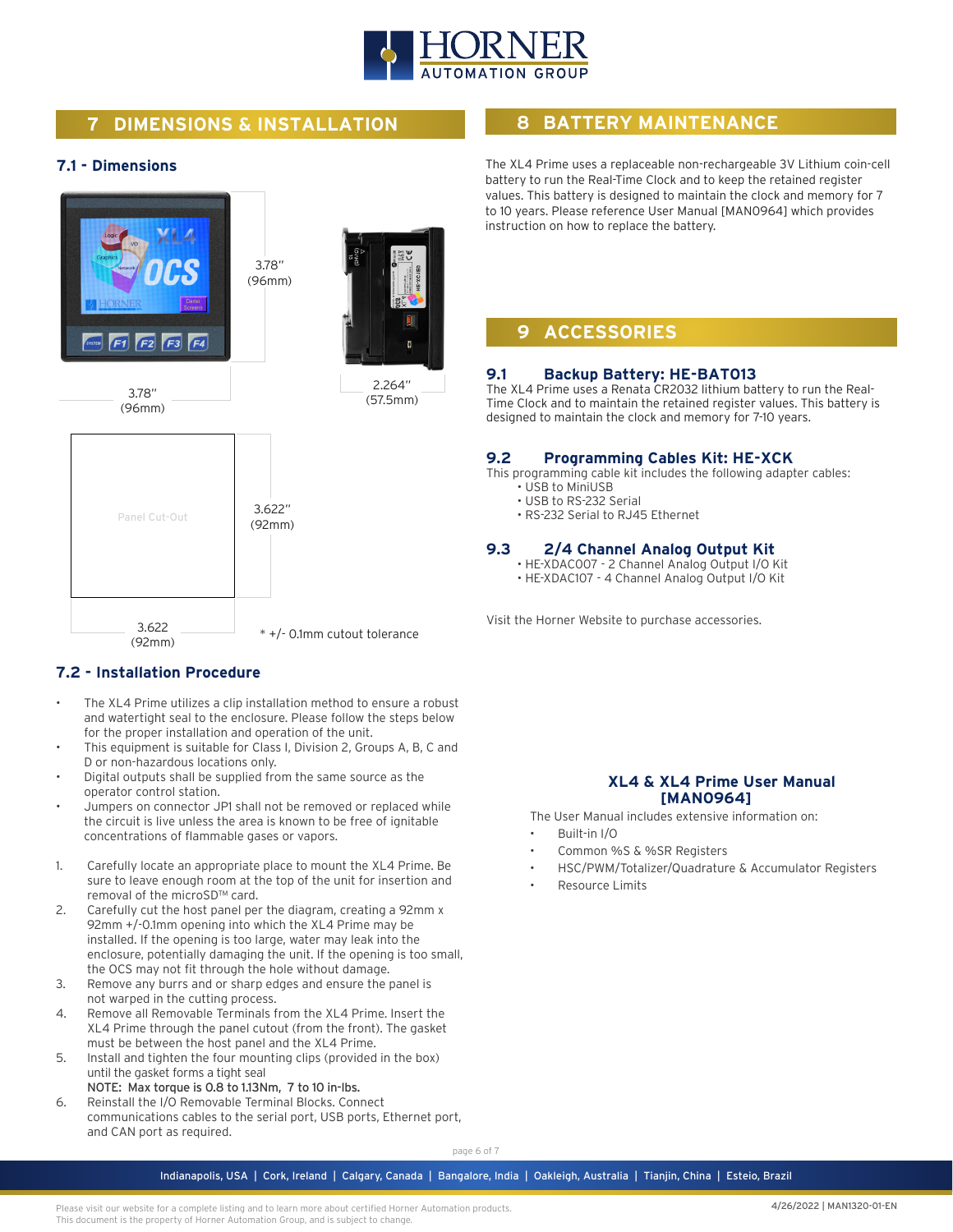

# **7 DIMENSIONS & INSTALLATION**

#### **7.1 - Dimensions**



### **7.2 - Installation Procedure**

- The XL4 Prime utilizes a clip installation method to ensure a robust and watertight seal to the enclosure. Please follow the steps below for the proper installation and operation of the unit.
- This equipment is suitable for Class I, Division 2, Groups A, B, C and D or non-hazardous locations only.
- Digital outputs shall be supplied from the same source as the operator control station.
- Jumpers on connector JP1 shall not be removed or replaced while the circuit is live unless the area is known to be free of ignitable concentrations of flammable gases or vapors.
- 1. Carefully locate an appropriate place to mount the XL4 Prime. Be sure to leave enough room at the top of the unit for insertion and removal of the microSD™ card.
- 2. Carefully cut the host panel per the diagram, creating a 92mm x 92mm +/-0.1mm opening into which the XL4 Prime may be installed. If the opening is too large, water may leak into the enclosure, potentially damaging the unit. If the opening is too small, the OCS may not fit through the hole without damage.
- 3. Remove any burrs and or sharp edges and ensure the panel is not warped in the cutting process.
- 4. Remove all Removable Terminals from the XL4 Prime. Insert the XL4 Prime through the panel cutout (from the front). The gasket must be between the host panel and the XL4 Prime.
- 5. Install and tighten the four mounting clips (provided in the box) until the gasket forms a tight seal
	- NOTE: Max torque is 0.8 to 1.13Nm, 7 to 10 in-lbs.
- 6. Reinstall the I/O Removable Terminal Blocks. Connect communications cables to the serial port, USB ports, Ethernet port, and CAN port as required.

# **8 BATTERY MAINTENANCE**

The XL4 Prime uses a replaceable non-rechargeable 3V Lithium coin-cell battery to run the Real-Time Clock and to keep the retained register values. This battery is designed to maintain the clock and memory for 7 to 10 years. Please reference User Manual [MAN0964] which provides instruction on how to replace the battery.

# **9 ACCESSORIES**

#### **9.1 Backup Battery: HE-BAT013**

The XL4 Prime uses a Renata CR2032 lithium battery to run the Real-Time Clock and to maintain the retained register values. This battery is designed to maintain the clock and memory for 7-10 years.

#### **9.2 Programming Cables Kit: HE-XCK**

This programming cable kit includes the following adapter cables:

- USB to MiniUSB
- USB to RS-232 Serial
- RS-232 Serial to RJ45 Ethernet

#### **9.3 2/4 Channel Analog Output Kit**

- HE-XDAC007 2 Channel Analog Output I/O Kit
- HE-XDAC107 4 Channel Analog Output I/O Kit

Visit the Horner Website to purchase accessories.

#### **XL4 & XL4 Prime User Manual [MAN0964]**

The User Manual includes extensive information on:

- Built-in I/O
- Common %S & %SR Registers
- HSC/PWM/Totalizer/Quadrature & Accumulator Registers
- Resource Limits

page 6 of 7

Indianapolis, USA | Cork, Ireland | Calgary, Canada | Bangalore, India | Oakleigh, Australia | Tianjin, China | Esteio, Brazil